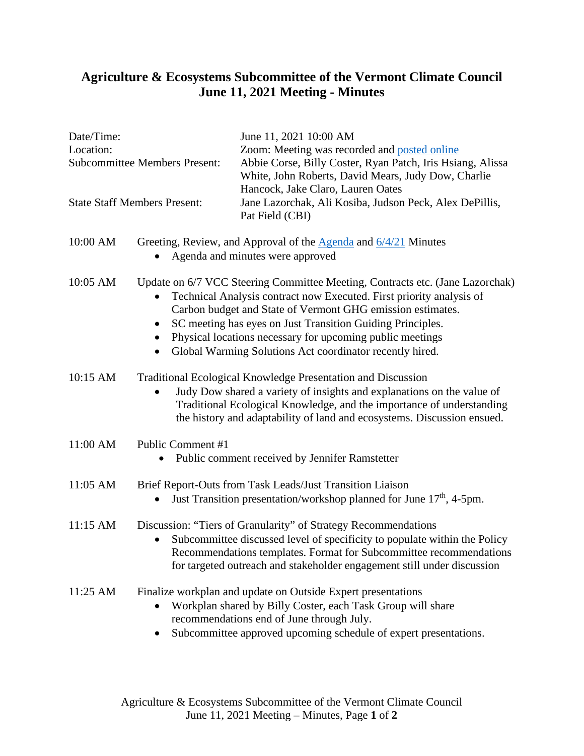## **Agriculture & Ecosystems Subcommittee of the Vermont Climate Council June 11, 2021 Meeting - Minutes**

............................

------

........

| Date/Time:<br>Location:<br><b>Subcommittee Members Present:</b> |                                                                                                                                                                                                                                                                                                                                                                                                                 | June 11, 2021 10:00 AM<br>Zoom: Meeting was recorded and posted online<br>Abbie Corse, Billy Coster, Ryan Patch, Iris Hsiang, Alissa<br>White, John Roberts, David Mears, Judy Dow, Charlie<br>Hancock, Jake Claro, Lauren Oates<br>Jane Lazorchak, Ali Kosiba, Judson Peck, Alex DePillis,<br>Pat Field (CBI) |
|-----------------------------------------------------------------|-----------------------------------------------------------------------------------------------------------------------------------------------------------------------------------------------------------------------------------------------------------------------------------------------------------------------------------------------------------------------------------------------------------------|----------------------------------------------------------------------------------------------------------------------------------------------------------------------------------------------------------------------------------------------------------------------------------------------------------------|
| <b>State Staff Members Present:</b>                             |                                                                                                                                                                                                                                                                                                                                                                                                                 |                                                                                                                                                                                                                                                                                                                |
| 10:00 AM                                                        | Greeting, Review, and Approval of the $\triangle$ genda and $6/4/21$ Minutes<br>Agenda and minutes were approved                                                                                                                                                                                                                                                                                                |                                                                                                                                                                                                                                                                                                                |
| 10:05 AM                                                        | Update on 6/7 VCC Steering Committee Meeting, Contracts etc. (Jane Lazorchak)<br>Technical Analysis contract now Executed. First priority analysis of<br>Carbon budget and State of Vermont GHG emission estimates.<br>SC meeting has eyes on Just Transition Guiding Principles.<br>Physical locations necessary for upcoming public meetings<br>Global Warming Solutions Act coordinator recently hired.<br>٠ |                                                                                                                                                                                                                                                                                                                |
| 10:15 AM                                                        |                                                                                                                                                                                                                                                                                                                                                                                                                 | Traditional Ecological Knowledge Presentation and Discussion<br>Judy Dow shared a variety of insights and explanations on the value of<br>Traditional Ecological Knowledge, and the importance of understanding<br>the history and adaptability of land and ecosystems. Discussion ensued.                     |
| 11:00 AM                                                        | Public Comment #1<br>Public comment received by Jennifer Ramstetter<br>$\bullet$                                                                                                                                                                                                                                                                                                                                |                                                                                                                                                                                                                                                                                                                |
| 11:05 AM                                                        | Brief Report-Outs from Task Leads/Just Transition Liaison<br>Just Transition presentation/workshop planned for June 17 <sup>th</sup> , 4-5pm.<br>$\bullet$                                                                                                                                                                                                                                                      |                                                                                                                                                                                                                                                                                                                |
| 11:15 AM                                                        |                                                                                                                                                                                                                                                                                                                                                                                                                 | Discussion: "Tiers of Granularity" of Strategy Recommendations<br>Subcommittee discussed level of specificity to populate within the Policy<br>Recommendations templates. Format for Subcommittee recommendations<br>for targeted outreach and stakeholder engagement still under discussion                   |
| 11:25 AM                                                        |                                                                                                                                                                                                                                                                                                                                                                                                                 | Finalize workplan and update on Outside Expert presentations<br>Workplan shared by Billy Coster, each Task Group will share<br>recommendations end of June through July.<br>Subcommittee approved upcoming schedule of expert presentations.                                                                   |